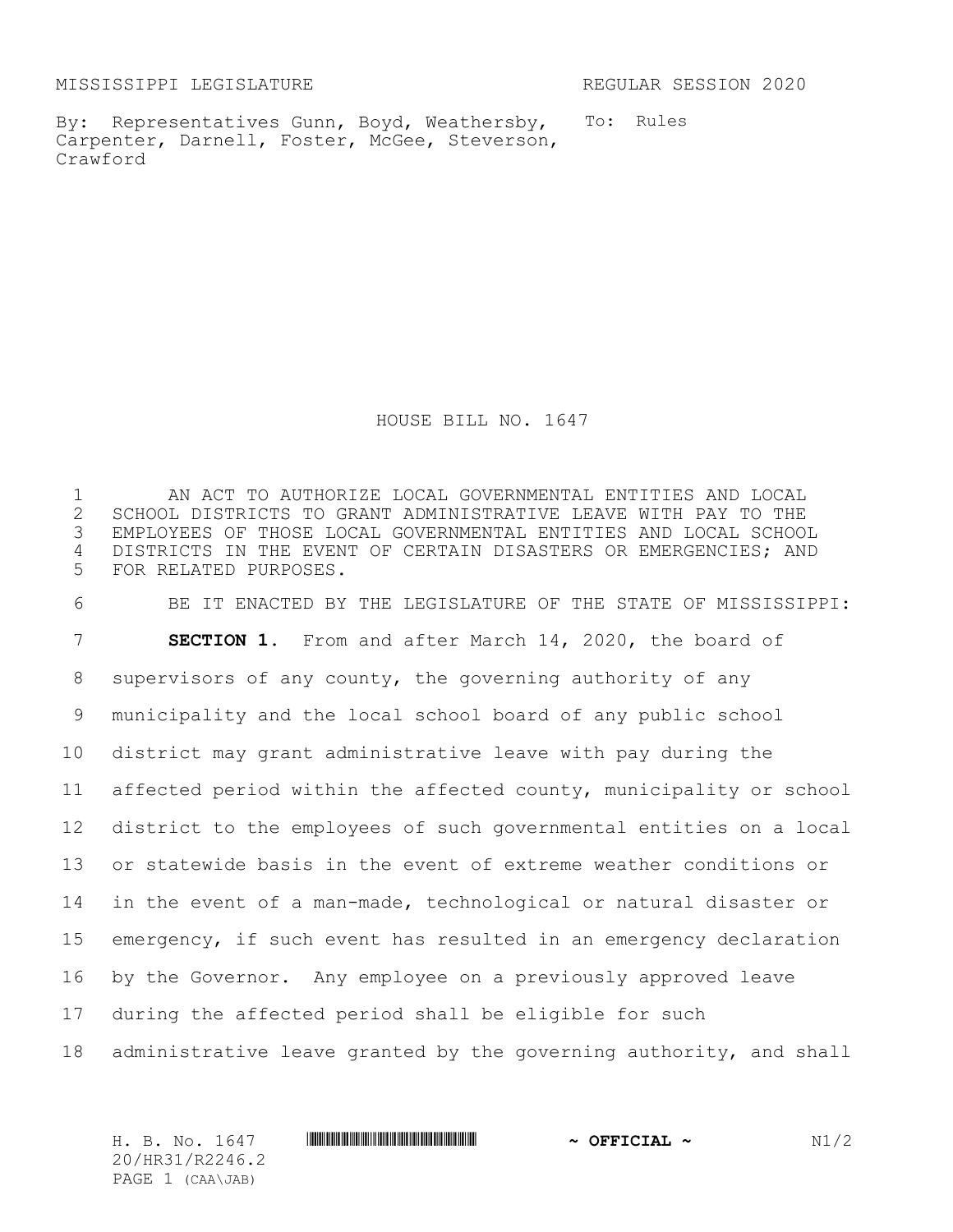MISSISSIPPI LEGISLATURE REGULAR SESSION 2020

By: Representatives Gunn, Boyd, Weathersby, Carpenter, Darnell, Foster, McGee, Steverson, Crawford

To: Rules

HOUSE BILL NO. 1647

1 AN ACT TO AUTHORIZE LOCAL GOVERNMENTAL ENTITIES AND LOCAL 2 SCHOOL DISTRICTS TO GRANT ADMINISTRATIVE LEAVE WITH PAY TO THE<br>3 EMPLOYEES OF THOSE LOCAL GOVERNMENTAL ENTITIES AND LOCAL SCHOO EMPLOYEES OF THOSE LOCAL GOVERNMENTAL ENTITIES AND LOCAL SCHOOL 4 DISTRICTS IN THE EVENT OF CERTAIN DISASTERS OR EMERGENCIES; AND 5 FOR RELATED PURPOSES.

 BE IT ENACTED BY THE LEGISLATURE OF THE STATE OF MISSISSIPPI: **SECTION 1.** From and after March 14, 2020, the board of supervisors of any county, the governing authority of any municipality and the local school board of any public school district may grant administrative leave with pay during the affected period within the affected county, municipality or school district to the employees of such governmental entities on a local or statewide basis in the event of extreme weather conditions or in the event of a man-made, technological or natural disaster or emergency, if such event has resulted in an emergency declaration by the Governor. Any employee on a previously approved leave during the affected period shall be eligible for such administrative leave granted by the governing authority, and shall

H. B. No. 1647 \*HR31/R2246.2\* **~ OFFICIAL ~** N1/2 20/HR31/R2246.2 PAGE 1 (CAA\JAB)